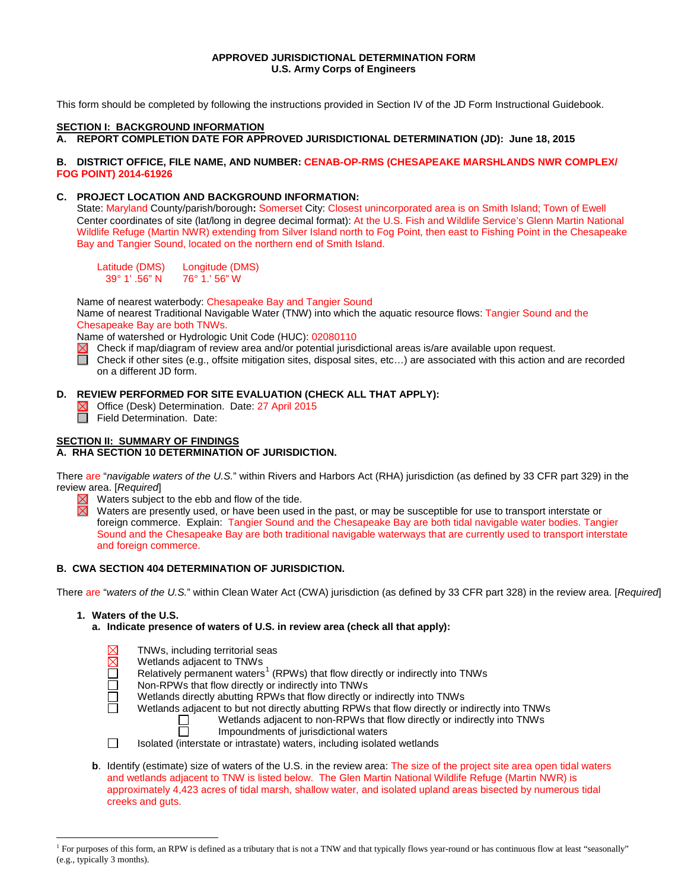## **APPROVED JURISDICTIONAL DETERMINATION FORM U.S. Army Corps of Engineers**

This form should be completed by following the instructions provided in Section IV of the JD Form Instructional Guidebook.

## **SECTION I: BACKGROUND INFORMATION**

**A. REPORT COMPLETION DATE FOR APPROVED JURISDICTIONAL DETERMINATION (JD): June 18, 2015**

## **B. DISTRICT OFFICE, FILE NAME, AND NUMBER: CENAB-OP-RMS (CHESAPEAKE MARSHLANDS NWR COMPLEX/ FOG POINT) 2014-61926**

## **C. PROJECT LOCATION AND BACKGROUND INFORMATION:**

State: Maryland County/parish/borough**:** Somerset City: Closest unincorporated area is on Smith Island; Town of Ewell Center coordinates of site (lat/long in degree decimal format): At the U.S. Fish and Wildlife Service's Glenn Martin National Wildlife Refuge (Martin NWR) extending from Silver Island north to Fog Point, then east to Fishing Point in the Chesapeake Bay and Tangier Sound, located on the northern end of Smith Island.

Latitude (DMS) Longitude (DMS)<br>39° 1' .56" N 76° 1.' 56" W 76° 1.' 56" W

Name of nearest waterbody: Chesapeake Bay and Tangier Sound Name of nearest Traditional Navigable Water (TNW) into which the aquatic resource flows: Tangier Sound and the Chesapeake Bay are both TNWs.

Name of watershed or Hydrologic Unit Code (HUC): 02080110<br>  $\boxtimes$  Check if map/diagram of review area and/or potential jurisdictional areas is/are available upon request. Check if map/diagram of review area and/or potential jurisdictional areas is/are available upon request.

Check if other sites (e.g., offsite mitigation sites, disposal sites, etc…) are associated with this action and are recorded on a different JD form.

# **D. REVIEW PERFORMED FOR SITE EVALUATION (CHECK ALL THAT APPLY):**

 $\boxtimes$  Office (Desk) Determination. Date: 27 April 2015 Field Determination. Date:

# **SECTION II: SUMMARY OF FINDINGS**

# **A. RHA SECTION 10 DETERMINATION OF JURISDICTION.**

There are "*navigable waters of the U.S.*" within Rivers and Harbors Act (RHA) jurisdiction (as defined by 33 CFR part 329) in the review area. [*Required*]

- Waters subject to the ebb and flow of the tide.
- Waters are presently used, or have been used in the past, or may be susceptible for use to transport interstate or foreign commerce. Explain: Tangier Sound and the Chesapeake Bay are both tidal navigable water bodies. Tangier Sound and the Chesapeake Bay are both traditional navigable waterways that are currently used to transport interstate and foreign commerce.

## **B. CWA SECTION 404 DETERMINATION OF JURISDICTION.**

There are "*waters of the U.S.*" within Clean Water Act (CWA) jurisdiction (as defined by 33 CFR part 328) in the review area. [*Required*]

#### **1. Waters of the U.S.**

 $\overline{a}$ 

**a. Indicate presence of waters of U.S. in review area (check all that apply):**

- TNWs, including territorial seas
	- Wetlands adjacent to TNWs
- Ō Relatively permanent waters<sup>[1](#page-0-0)</sup> (RPWs) that flow directly or indirectly into TNWs
- $\Box$ Non-RPWs that flow directly or indirectly into TNWs
- Wetlands directly abutting RPWs that flow directly or indirectly into TNWs
	- Wetlands adjacent to but not directly abutting RPWs that flow directly or indirectly into TNWs
		- Wetlands adjacent to non-RPWs that flow directly or indirectly into TNWs
			- Impoundments of jurisdictional waters
- $\Box$ Isolated (interstate or intrastate) waters, including isolated wetlands
- **b**. Identify (estimate) size of waters of the U.S. in the review area: The size of the project site area open tidal waters and wetlands adjacent to TNW is listed below. The Glen Martin National Wildlife Refuge (Martin NWR) is approximately 4,423 acres of tidal marsh, shallow water, and isolated upland areas bisected by numerous tidal creeks and guts.

<span id="page-0-0"></span><sup>&</sup>lt;sup>1</sup> For purposes of this form, an RPW is defined as a tributary that is not a TNW and that typically flows year-round or has continuous flow at least "seasonally" (e.g., typically 3 months).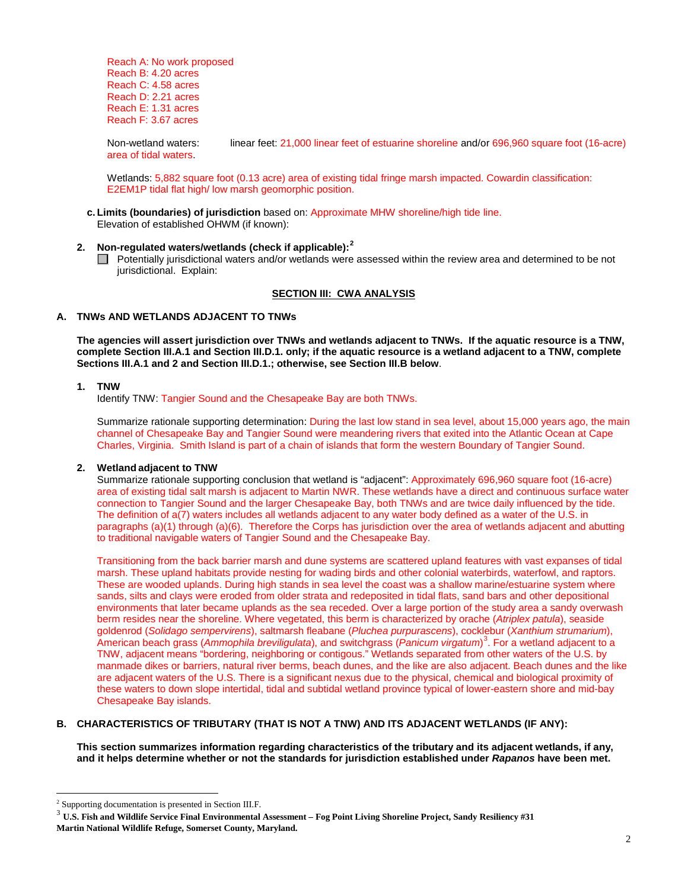Reach A: No work proposed Reach B: 4.20 acres Reach C: 4.58 acres Reach D: 2.21 acres Reach E: 1.31 acres Reach F: 3.67 acres

Non-wetland waters: linear feet: 21,000 linear feet of estuarine shoreline and/or 696,960 square foot (16-acre) area of tidal waters.

Wetlands: 5,882 square foot (0.13 acre) area of existing tidal fringe marsh impacted. Cowardin classification: E2EM1P tidal flat high/ low marsh geomorphic position.

- **c. Limits (boundaries) of jurisdiction** based on: Approximate MHW shoreline/high tide line. Elevation of established OHWM (if known):
- **2. Non-regulated waters/wetlands (check if applicable): [2](#page-1-0)**
	- Potentially jurisdictional waters and/or wetlands were assessed within the review area and determined to be not jurisdictional. Explain:

## **SECTION III: CWA ANALYSIS**

## **A. TNWs AND WETLANDS ADJACENT TO TNWs**

**The agencies will assert jurisdiction over TNWs and wetlands adjacent to TNWs. If the aquatic resource is a TNW, complete Section III.A.1 and Section III.D.1. only; if the aquatic resource is a wetland adjacent to a TNW, complete Sections III.A.1 and 2 and Section III.D.1.; otherwise, see Section III.B below**.

## **1. TNW**

Identify TNW: Tangier Sound and the Chesapeake Bay are both TNWs.

Summarize rationale supporting determination: During the last low stand in sea level, about 15,000 years ago, the main channel of Chesapeake Bay and Tangier Sound were meandering rivers that exited into the Atlantic Ocean at Cape Charles, Virginia. Smith Island is part of a chain of islands that form the western Boundary of Tangier Sound.

#### **2. Wetland adjacent to TNW**

Summarize rationale supporting conclusion that wetland is "adjacent": Approximately 696,960 square foot (16-acre) area of existing tidal salt marsh is adjacent to Martin NWR. These wetlands have a direct and continuous surface water connection to Tangier Sound and the larger Chesapeake Bay, both TNWs and are twice daily influenced by the tide. The definition of a(7) waters includes all wetlands adjacent to any water body defined as a water of the U.S. in paragraphs (a)(1) through (a)(6). Therefore the Corps has jurisdiction over the area of wetlands adjacent and abutting to traditional navigable waters of Tangier Sound and the Chesapeake Bay.

Transitioning from the back barrier marsh and dune systems are scattered upland features with vast expanses of tidal marsh. These upland habitats provide nesting for wading birds and other colonial waterbirds, waterfowl, and raptors. These are wooded uplands. During high stands in sea level the coast was a shallow marine/estuarine system where sands, silts and clays were eroded from older strata and redeposited in tidal flats, sand bars and other depositional environments that later became uplands as the sea receded. Over a large portion of the study area a sandy overwash berm resides near the shoreline. Where vegetated, this berm is characterized by orache (*Atriplex patula*), seaside goldenrod (*Solidago sempervirens*), saltmarsh fleabane (*Pluchea purpurascens*), cocklebur (*Xanthium strumarium*), American beach grass (*Ammophila breviligulata*), and switchgrass (*Panicum virgatum*) [3](#page-1-1) . For a wetland adjacent to a TNW, adjacent means "bordering, neighboring or contigous." Wetlands separated from other waters of the U.S. by manmade dikes or barriers, natural river berms, beach dunes, and the like are also adjacent. Beach dunes and the like are adjacent waters of the U.S. There is a significant nexus due to the physical, chemical and biological proximity of these waters to down slope intertidal, tidal and subtidal wetland province typical of lower-eastern shore and mid-bay Chesapeake Bay islands.

## **B. CHARACTERISTICS OF TRIBUTARY (THAT IS NOT A TNW) AND ITS ADJACENT WETLANDS (IF ANY):**

**This section summarizes information regarding characteristics of the tributary and its adjacent wetlands, if any, and it helps determine whether or not the standards for jurisdiction established under** *Rapanos* **have been met.** 

 $\overline{a}$ 

<span id="page-1-0"></span><sup>2</sup> Supporting documentation is presented in Section III.F.

<span id="page-1-1"></span><sup>3</sup> **U.S. Fish and Wildlife Service Final Environmental Assessment – Fog Point Living Shoreline Project, Sandy Resiliency #31 Martin National Wildlife Refuge, Somerset County, Maryland.**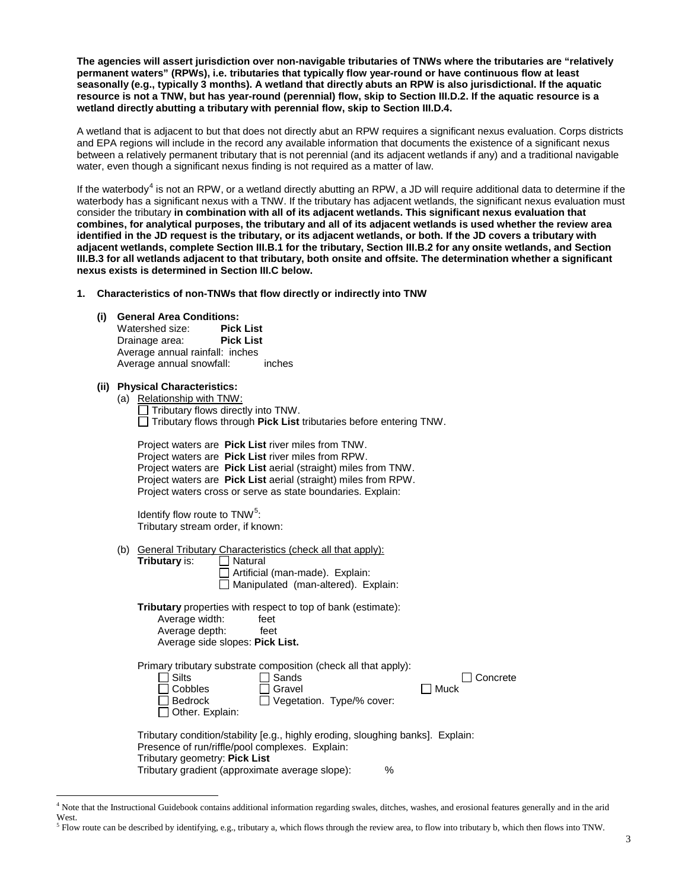**The agencies will assert jurisdiction over non-navigable tributaries of TNWs where the tributaries are "relatively permanent waters" (RPWs), i.e. tributaries that typically flow year-round or have continuous flow at least seasonally (e.g., typically 3 months). A wetland that directly abuts an RPW is also jurisdictional. If the aquatic resource is not a TNW, but has year-round (perennial) flow, skip to Section III.D.2. If the aquatic resource is a wetland directly abutting a tributary with perennial flow, skip to Section III.D.4.** 

A wetland that is adjacent to but that does not directly abut an RPW requires a significant nexus evaluation. Corps districts and EPA regions will include in the record any available information that documents the existence of a significant nexus between a relatively permanent tributary that is not perennial (and its adjacent wetlands if any) and a traditional navigable water, even though a significant nexus finding is not required as a matter of law.

If the waterbody<sup>[4](#page-2-0)</sup> is not an RPW, or a wetland directly abutting an RPW, a JD will require additional data to determine if the waterbody has a significant nexus with a TNW. If the tributary has adjacent wetlands, the significant nexus evaluation must consider the tributary **in combination with all of its adjacent wetlands. This significant nexus evaluation that combines, for analytical purposes, the tributary and all of its adjacent wetlands is used whether the review area identified in the JD request is the tributary, or its adjacent wetlands, or both. If the JD covers a tributary with adjacent wetlands, complete Section III.B.1 for the tributary, Section III.B.2 for any onsite wetlands, and Section III.B.3 for all wetlands adjacent to that tributary, both onsite and offsite. The determination whether a significant nexus exists is determined in Section III.C below.**

**1. Characteristics of non-TNWs that flow directly or indirectly into TNW**

# **(i) General Area Conditions:**

Watershed size: Drainage area: **Pick List** Average annual rainfall: inches Average annual snowfall: inches

## **(ii) Physical Characteristics:**

 $\overline{a}$ 

(a) Relationship with TNW: Tributary flows directly into TNW. Tributary flows through **Pick List** tributaries before entering TNW.

| Project waters are <b>Pick List</b> river miles from TNW.             |  |
|-----------------------------------------------------------------------|--|
| Project waters are Pick List river miles from RPW.                    |  |
| Project waters are <b>Pick List</b> aerial (straight) miles from TNW. |  |
| Project waters are Pick List aerial (straight) miles from RPW.        |  |
| Project waters cross or serve as state boundaries. Explain:           |  |

Identify flow route to TNW<sup>[5](#page-2-1)</sup>: Tributary stream order, if known:

- (b) General Tributary Characteristics (check all that apply):<br>
Tributary is:  $\Box$  Natural **Tributary** is:
	- □ Artificial (man-made). Explain:  $\Box$  Manipulated (man-altered). Explain:

**Tributary** properties with respect to top of bank (estimate): Average width: Average depth: feet Average side slopes: **Pick List.** 

Primary tributary substrate composition (check all that apply):

|                                                                                 | Primary modiary substrate composition (check all that apply). |  |  |  |
|---------------------------------------------------------------------------------|---------------------------------------------------------------|--|--|--|
|                                                                                 | Sands<br><b>Silts</b><br>l Concrete                           |  |  |  |
|                                                                                 | l Cobbles<br>∃ Gravel<br>Muck                                 |  |  |  |
|                                                                                 | l Bedrock<br>Vegetation. Type/% cover:                        |  |  |  |
|                                                                                 | $\Box$ Other. Explain:                                        |  |  |  |
|                                                                                 |                                                               |  |  |  |
| Tributary condition/stability [e.g., highly eroding, sloughing banks]. Explain: |                                                               |  |  |  |
| Presence of run/riffle/pool complexes. Explain:                                 |                                                               |  |  |  |
|                                                                                 | Tributary geometry: Pick List                                 |  |  |  |
|                                                                                 | Tributary gradient (approximate average slope):<br>%          |  |  |  |
|                                                                                 |                                                               |  |  |  |

<span id="page-2-0"></span><sup>4</sup> Note that the Instructional Guidebook contains additional information regarding swales, ditches, washes, and erosional features generally and in the arid West.

<span id="page-2-1"></span> $<sup>5</sup>$  Flow route can be described by identifying, e.g., tributary a, which flows through the review area, to flow into tributary b, which then flows into TNW.</sup>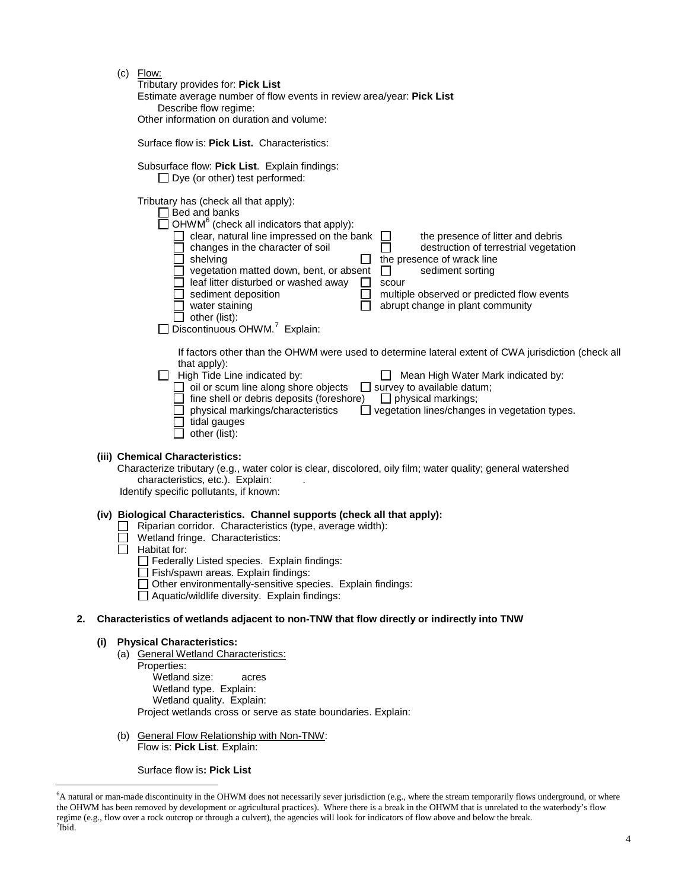(c) Flow:

Surface flow is: **Pick List.** Characteristics: Subsurface flow: **Pick List**. Explain findings:  $\Box$  Dye (or other) test performed:

Tributary has (check all that apply):

| Bed and banks                                                                                                                                                                                                                                                                                 |                                                                                                                                                                                                                         |
|-----------------------------------------------------------------------------------------------------------------------------------------------------------------------------------------------------------------------------------------------------------------------------------------------|-------------------------------------------------------------------------------------------------------------------------------------------------------------------------------------------------------------------------|
| $\Box$ OHWM <sup>6</sup> (check all indicators that apply):                                                                                                                                                                                                                                   |                                                                                                                                                                                                                         |
| clear, natural line impressed on the bank<br>changes in the character of soil<br>shelving<br>vegetation matted down, bent, or absent<br>leaf litter disturbed or washed away<br>sediment deposition<br>water staining<br>other (list):<br>Discontinuous OHWM. <sup>7</sup> Explain:<br>$\Box$ | the presence of litter and debris<br>destruction of terrestrial vegetation<br>the presence of wrack line<br>sediment sorting<br>scour<br>multiple observed or predicted flow events<br>abrupt change in plant community |
|                                                                                                                                                                                                                                                                                               | If factors other than the OHWM were used to determine lateral extent of CWA jurisdiction (chec                                                                                                                          |

 $\mathop{\mathsf{Iner}}\nolimits$  rand the OHWM were used to determine lateral extent of CWA jurisdiction (check all that apply):

| High Tide Line indicated by:                     | Mean High Water Mark indicated by:                   |
|--------------------------------------------------|------------------------------------------------------|
| $\Box$ oil or scum line along shore objects      | survey to available datum;                           |
| $\Box$ fine shell or debris deposits (foreshore) | $\Box$ physical markings:                            |
| physical markings/characteristics                | $\Box$ vegetation lines/changes in vegetation types. |
| tidal gauges                                     |                                                      |
| $\top$ other (list):                             |                                                      |

## **(iii) Chemical Characteristics:**

Characterize tributary (e.g., water color is clear, discolored, oily film; water quality; general watershed characteristics, etc.). Explain:

Identify specific pollutants, if known:

# **(iv) Biological Characteristics. Channel supports (check all that apply):**

- $\Box$  Riparian corridor. Characteristics (type, average width):
- $\overline{\Box}$  Wetland fringe. Characteristics:
- $\Box$  Habitat for:

Federally Listed species. Explain findings:

- $\Box$  Fish/spawn areas. Explain findings:
- $\Box$  Other environmentally-sensitive species. Explain findings:

 $\Box$  Aquatic/wildlife diversity. Explain findings:

# **2. Characteristics of wetlands adjacent to non-TNW that flow directly or indirectly into TNW**

## **(i) Physical Characteristics:**

- (a) General Wetland Characteristics:
- Properties:

 $\overline{a}$ 

Wetland size: acres Wetland type. Explain: Wetland quality. Explain: Project wetlands cross or serve as state boundaries. Explain:

(b) General Flow Relationship with Non-TNW: Flow is: **Pick List**. Explain:

Surface flow is**: Pick List** 

<span id="page-3-1"></span><span id="page-3-0"></span><sup>&</sup>lt;sup>6</sup>A natural or man-made discontinuity in the OHWM does not necessarily sever jurisdiction (e.g., where the stream temporarily flows underground, or where the OHWM has been removed by development or agricultural practices). Where there is a break in the OHWM that is unrelated to the waterbody's flow regime (e.g., flow over a rock outcrop or through a culvert), the agencies will look for indicators of flow above and below the break. <sup>7</sup>  $\overline{^{7}}$ Ibid.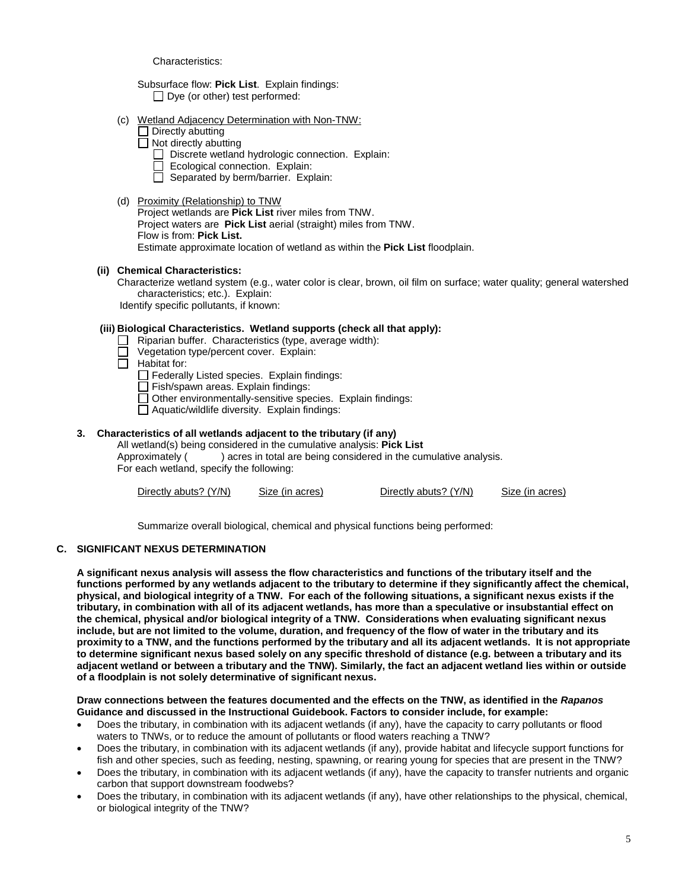Characteristics:

Subsurface flow: **Pick List**. Explain findings:  $\Box$  Dye (or other) test performed:

- (c) Wetland Adjacency Determination with Non-TNW:
	- $\Box$  Directly abutting
	- $\Box$  Not directly abutting
		- Discrete wetland hydrologic connection. Explain:
		- Ecological connection. Explain:
		- $\Box$  Separated by berm/barrier. Explain:
- (d) Proximity (Relationship) to TNW

Project wetlands are **Pick List** river miles from TNW. Project waters are **Pick List** aerial (straight) miles from TNW. Flow is from: **Pick List.** Estimate approximate location of wetland as within the **Pick List** floodplain.

# **(ii) Chemical Characteristics:**

Characterize wetland system (e.g., water color is clear, brown, oil film on surface; water quality; general watershed characteristics; etc.). Explain:

Identify specific pollutants, if known:

# **(iii) Biological Characteristics. Wetland supports (check all that apply):**

- Riparian buffer. Characteristics (type, average width):
- Vegetation type/percent cover. Explain:
- $\Box$ Habitat for:
	- $\Box$  Federally Listed species. Explain findings:
	- $\Box$  Fish/spawn areas. Explain findings:
	- $\Box$  Other environmentally-sensitive species. Explain findings:
	- $\overline{\Box}$  Aquatic/wildlife diversity. Explain findings:

# **3. Characteristics of all wetlands adjacent to the tributary (if any)**

All wetland(s) being considered in the cumulative analysis: **Pick List** ) acres in total are being considered in the cumulative analysis. For each wetland, specify the following:

Directly abuts? (Y/N) Size (in acres) Directly abuts? (Y/N) Size (in acres)

Summarize overall biological, chemical and physical functions being performed:

# **C. SIGNIFICANT NEXUS DETERMINATION**

**A significant nexus analysis will assess the flow characteristics and functions of the tributary itself and the functions performed by any wetlands adjacent to the tributary to determine if they significantly affect the chemical, physical, and biological integrity of a TNW. For each of the following situations, a significant nexus exists if the tributary, in combination with all of its adjacent wetlands, has more than a speculative or insubstantial effect on the chemical, physical and/or biological integrity of a TNW. Considerations when evaluating significant nexus include, but are not limited to the volume, duration, and frequency of the flow of water in the tributary and its proximity to a TNW, and the functions performed by the tributary and all its adjacent wetlands. It is not appropriate to determine significant nexus based solely on any specific threshold of distance (e.g. between a tributary and its adjacent wetland or between a tributary and the TNW). Similarly, the fact an adjacent wetland lies within or outside of a floodplain is not solely determinative of significant nexus.** 

## **Draw connections between the features documented and the effects on the TNW, as identified in the** *Rapanos* **Guidance and discussed in the Instructional Guidebook. Factors to consider include, for example:**

- Does the tributary, in combination with its adjacent wetlands (if any), have the capacity to carry pollutants or flood waters to TNWs, or to reduce the amount of pollutants or flood waters reaching a TNW?
- Does the tributary, in combination with its adjacent wetlands (if any), provide habitat and lifecycle support functions for fish and other species, such as feeding, nesting, spawning, or rearing young for species that are present in the TNW?
- Does the tributary, in combination with its adjacent wetlands (if any), have the capacity to transfer nutrients and organic carbon that support downstream foodwebs?
- Does the tributary, in combination with its adjacent wetlands (if any), have other relationships to the physical, chemical, or biological integrity of the TNW?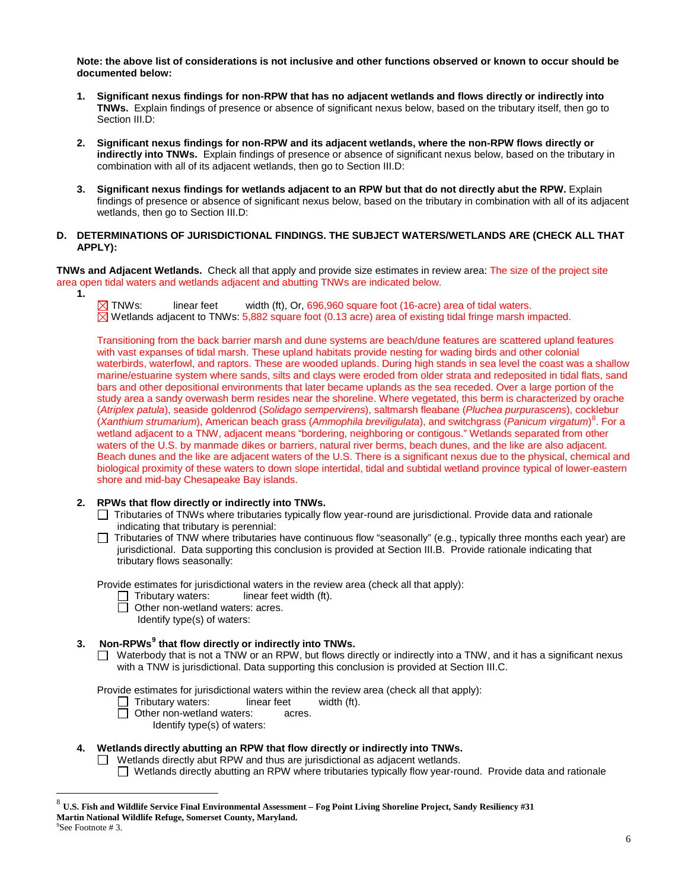**Note: the above list of considerations is not inclusive and other functions observed or known to occur should be documented below:**

- **1. Significant nexus findings for non-RPW that has no adjacent wetlands and flows directly or indirectly into TNWs.** Explain findings of presence or absence of significant nexus below, based on the tributary itself, then go to Section III.D:
- **2. Significant nexus findings for non-RPW and its adjacent wetlands, where the non-RPW flows directly or indirectly into TNWs.** Explain findings of presence or absence of significant nexus below, based on the tributary in combination with all of its adjacent wetlands, then go to Section III.D:
- **3. Significant nexus findings for wetlands adjacent to an RPW but that do not directly abut the RPW.** Explain findings of presence or absence of significant nexus below, based on the tributary in combination with all of its adjacent wetlands, then go to Section III.D:

## **D. DETERMINATIONS OF JURISDICTIONAL FINDINGS. THE SUBJECT WATERS/WETLANDS ARE (CHECK ALL THAT APPLY):**

**TNWs and Adjacent Wetlands.** Check all that apply and provide size estimates in review area: The size of the project site area open tidal waters and wetlands adjacent and abutting TNWs are indicated below.

**1.**

 $\boxtimes$  TNWs: linear feet width (ft), Or, 696,960 square foot (16-acre) area of tidal waters.  $\boxtimes$  Wetlands adiacent to TNWs: 5,882 square foot (0.13 acre) area of existing tidal fringe marsh impacted.

Transitioning from the back barrier marsh and dune systems are beach/dune features are scattered upland features with vast expanses of tidal marsh. These upland habitats provide nesting for wading birds and other colonial waterbirds, waterfowl, and raptors. These are wooded uplands. During high stands in sea level the coast was a shallow marine/estuarine system where sands, silts and clays were eroded from older strata and redeposited in tidal flats, sand bars and other depositional environments that later became uplands as the sea receded. Over a large portion of the study area a sandy overwash berm resides near the shoreline. Where vegetated, this berm is characterized by orache (*Atriplex patula*), seaside goldenrod (*Solidago sempervirens*), saltmarsh fleabane (*Pluchea purpurascens*), cocklebur (*Xanthium strumarium*), American beach grass (*Ammophila breviligulata*), and switchgrass (*Panicum virgatum*) [8](#page-5-0) . For a wetland adjacent to a TNW, adjacent means "bordering, neighboring or contigous." Wetlands separated from other waters of the U.S. by manmade dikes or barriers, natural river berms, beach dunes, and the like are also adjacent. Beach dunes and the like are adjacent waters of the U.S. There is a significant nexus due to the physical, chemical and biological proximity of these waters to down slope intertidal, tidal and subtidal wetland province typical of lower-eastern shore and mid-bay Chesapeake Bay islands.

## **2. RPWs that flow directly or indirectly into TNWs.**

- Tributaries of TNWs where tributaries typically flow year-round are jurisdictional. Provide data and rationale indicating that tributary is perennial:
- □ Tributaries of TNW where tributaries have continuous flow "seasonally" (e.g., typically three months each year) are jurisdictional. Data supporting this conclusion is provided at Section III.B. Provide rationale indicating that tributary flows seasonally:

Provide estimates for jurisdictional waters in the review area (check all that apply):<br>  $\Box$  Tributary waters: linear feet width (ft).

- linear feet width (ft).
- $\Box$  Other non-wetland waters: acres.

<span id="page-5-2"></span>Identify type(s) of waters:

# **3. Non-RPWs[9](#page-5-1) that flow directly or indirectly into TNWs.**

□ Waterbody that is not a TNW or an RPW, but flows directly or indirectly into a TNW, and it has a significant nexus with a TNW is jurisdictional. Data supporting this conclusion is provided at Section III.C.

Provide estimates for jurisdictional waters within the review area (check all that apply):<br>  $\Box$  Tributary waters: linear feet width (ft).

- $\Box$  Tributary waters:
- □ Other non-wetland waters: acres.
	- Identify type(s) of waters:

# **4. Wetlands directly abutting an RPW that flow directly or indirectly into TNWs.**

 $\Box$  Wetlands directly abut RPW and thus are jurisdictional as adjacent wetlands.

Wetlands directly abutting an RPW where tributaries typically flow year-round. Provide data and rationale

 $\overline{a}$ 

<span id="page-5-1"></span><span id="page-5-0"></span><sup>8</sup> **U.S. Fish and Wildlife Service Final Environmental Assessment – Fog Point Living Shoreline Project, Sandy Resiliency #31 Martin National Wildlife Refuge, Somerset County, Maryland.** <sup>9</sup>  $P^9$ See Footnote # 3.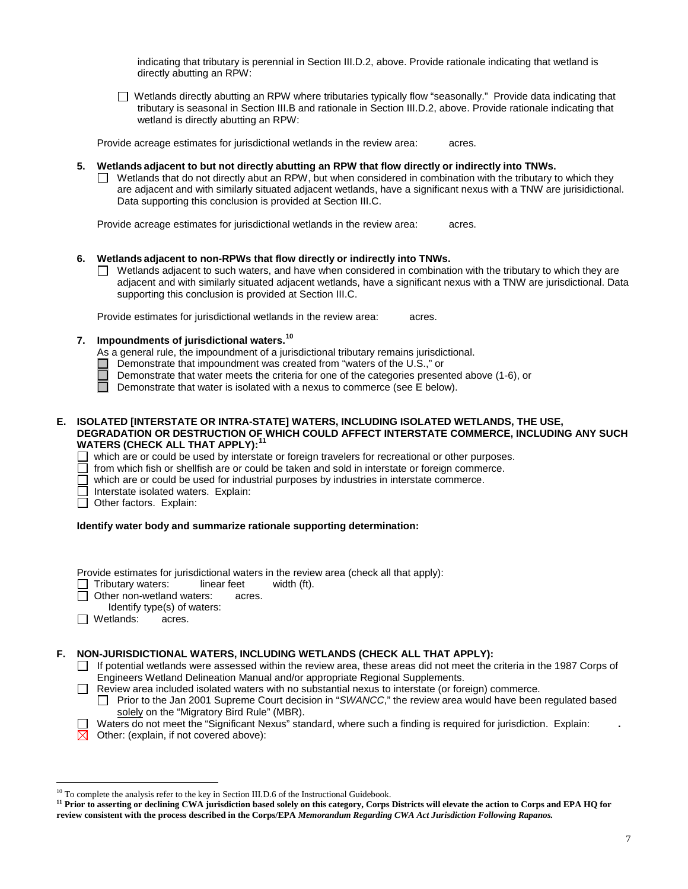indicating that tributary is perennial in Section III.D.2, above. Provide rationale indicating that wetland is directly abutting an RPW:

Wetlands directly abutting an RPW where tributaries typically flow "seasonally." Provide data indicating that tributary is seasonal in Section III.B and rationale in Section III.D.2, above. Provide rationale indicating that wetland is directly abutting an RPW:

Provide acreage estimates for jurisdictional wetlands in the review area: acres.

## **5. Wetlands adjacent to but not directly abutting an RPW that flow directly or indirectly into TNWs.**

 $\Box$  Wetlands that do not directly abut an RPW, but when considered in combination with the tributary to which they are adjacent and with similarly situated adjacent wetlands, have a significant nexus with a TNW are jurisidictional. Data supporting this conclusion is provided at Section III.C.

Provide acreage estimates for jurisdictional wetlands in the review area: acres.

## **6. Wetlands adjacent to non-RPWs that flow directly or indirectly into TNWs.**

 $\Box$  Wetlands adjacent to such waters, and have when considered in combination with the tributary to which they are adjacent and with similarly situated adjacent wetlands, have a significant nexus with a TNW are jurisdictional. Data supporting this conclusion is provided at Section III.C.

Provide estimates for jurisdictional wetlands in the review area: acres.

# **7. Impoundments of jurisdictional waters. [10](#page-6-0)**

As a general rule, the impoundment of a jurisdictional tributary remains jurisdictional.

- Demonstrate that impoundment was created from "waters of the U.S.," or
- Demonstrate that water meets the criteria for one of the categories presented above (1-6), or
- П Demonstrate that water is isolated with a nexus to commerce (see E below).

## **E. ISOLATED [INTERSTATE OR INTRA-STATE] WATERS, INCLUDING ISOLATED WETLANDS, THE USE, DEGRADATION OR DESTRUCTION OF WHICH COULD AFFECT INTERSTATE COMMERCE, INCLUDING ANY SUCH WATERS (CHECK ALL THAT APPLY):[11](#page-6-1)**

 $\Box$  which are or could be used by interstate or foreign travelers for recreational or other purposes.

from which fish or shellfish are or could be taken and sold in interstate or foreign commerce.

which are or could be used for industrial purposes by industries in interstate commerce.

Interstate isolated waters.Explain:

Other factors.Explain:

## **Identify water body and summarize rationale supporting determination:**

Provide estimates for jurisdictional waters in the review area (check all that apply):

Tributary waters: linear feet width (ft).

- □ Other non-wetland waters: acres.
	- Identify type(s) of waters:
- Wetlands: acres.

## **F. NON-JURISDICTIONAL WATERS, INCLUDING WETLANDS (CHECK ALL THAT APPLY):**

 $\Box$  If potential wetlands were assessed within the review area, these areas did not meet the criteria in the 1987 Corps of Engineers Wetland Delineation Manual and/or appropriate Regional Supplements.

Review area included isolated waters with no substantial nexus to interstate (or foreign) commerce.

- Prior to the Jan 2001 Supreme Court decision in "*SWANCC*," the review area would have been regulated based solely on the "Migratory Bird Rule" (MBR).
- Waters do not meet the "Significant Nexus" standard, where such a finding is required for jurisdiction. Explain: **.**
- $\boxtimes$  Other: (explain, if not covered above):

<sup>&</sup>lt;sup>10</sup> To complete the analysis refer to the key in Section III.D.6 of the Instructional Guidebook.  $\overline{a}$ 

<span id="page-6-1"></span><span id="page-6-0"></span><sup>&</sup>lt;sup>11</sup> Prior to asserting or declining CWA jurisdiction based solely on this category, Corps Districts will elevate the action to Corps and EPA HQ for **review consistent with the process described in the Corps/EPA** *Memorandum Regarding CWA Act Jurisdiction Following Rapanos.*